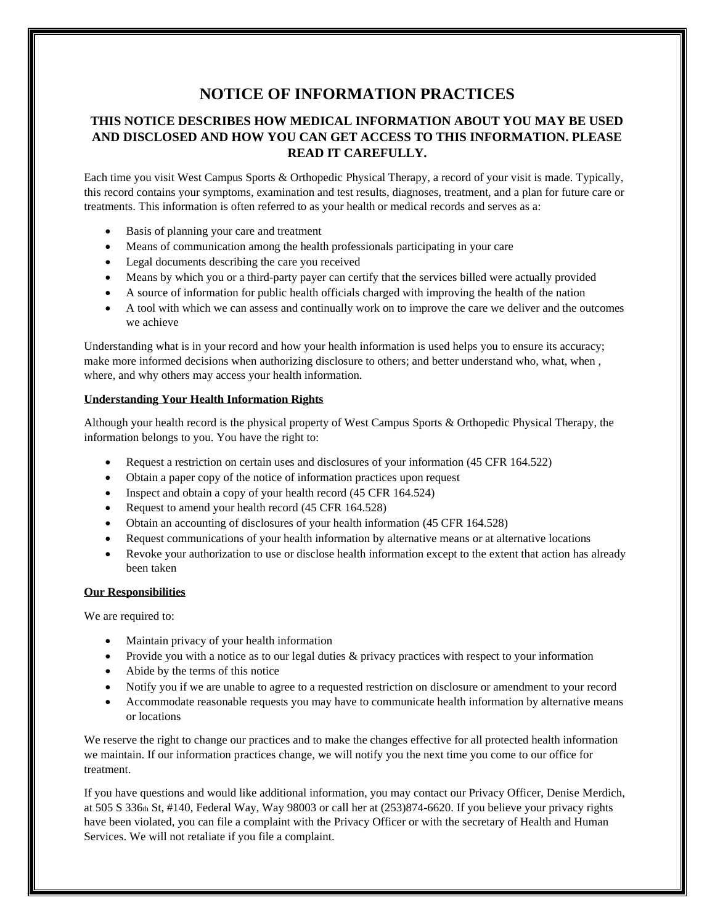# **NOTICE OF INFORMATION PRACTICES**

# **THIS NOTICE DESCRIBES HOW MEDICAL INFORMATION ABOUT YOU MAY BE USED AND DISCLOSED AND HOW YOU CAN GET ACCESS TO THIS INFORMATION. PLEASE READ IT CAREFULLY.**

Each time you visit West Campus Sports & Orthopedic Physical Therapy, a record of your visit is made. Typically, this record contains your symptoms, examination and test results, diagnoses, treatment, and a plan for future care or treatments. This information is often referred to as your health or medical records and serves as a:

- Basis of planning your care and treatment
- Means of communication among the health professionals participating in your care
- Legal documents describing the care you received
- Means by which you or a third-party payer can certify that the services billed were actually provided
- A source of information for public health officials charged with improving the health of the nation
- A tool with which we can assess and continually work on to improve the care we deliver and the outcomes we achieve

Understanding what is in your record and how your health information is used helps you to ensure its accuracy; make more informed decisions when authorizing disclosure to others; and better understand who, what, when , where, and why others may access your health information.

## **Understanding Your Health Information Rights**

Although your health record is the physical property of West Campus Sports & Orthopedic Physical Therapy, the information belongs to you. You have the right to:

- Request a restriction on certain uses and disclosures of your information (45 CFR 164.522)
- Obtain a paper copy of the notice of information practices upon request
- Inspect and obtain a copy of your health record (45 CFR 164.524)
- Request to amend your health record (45 CFR 164.528)
- Obtain an accounting of disclosures of your health information (45 CFR 164.528)
- Request communications of your health information by alternative means or at alternative locations
- Revoke your authorization to use or disclose health information except to the extent that action has already been taken

## **Our Responsibilities**

We are required to:

- Maintain privacy of your health information
- Provide you with a notice as to our legal duties & privacy practices with respect to your information
- Abide by the terms of this notice
- Notify you if we are unable to agree to a requested restriction on disclosure or amendment to your record
- Accommodate reasonable requests you may have to communicate health information by alternative means or locations

We reserve the right to change our practices and to make the changes effective for all protected health information we maintain. If our information practices change, we will notify you the next time you come to our office for treatment.

If you have questions and would like additional information, you may contact our Privacy Officer, Denise Merdich, at 505 S 336th St, #140, Federal Way, Way 98003 or call her at (253)874-6620. If you believe your privacy rights have been violated, you can file a complaint with the Privacy Officer or with the secretary of Health and Human Services. We will not retaliate if you file a complaint.